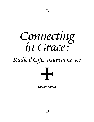

– SF

# *Radical Gifts,Radical Grace*



*LEADER GUIDE*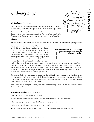# *Ordinary Days*

# *Gathering In (10 minutes)*

*Welcome people; be sure that everyone has a nametag. Introduce people to each other, provide treats, and give everyone a few minutes to get settled.* 

*If members of the group do not know each other, this gathering time may be shorter than those of subsequent sessions. (More specific suggestions for how this can be facilitated appear in the Introduction to the Leader Guide.)*

# *Theme*

*You may want to either read this or paraphrase the theme and purpose before posing the opening question.*

Remember when you were a child and it seemed like forever until Christmas or your birthday would come? Many of us act in much the same way as adults. We look forward to the big life events, such as graduations, weddings, vacations, and the birth of a child or grandchild. It's easy to see God's love and creative power as we watch a sunset, or sing "Happy Birthday" to a beloved child, or watch dear friends unite their lives in marriage. But sometimes it's easy to forget that our lives are



*<sup>I</sup> <sup>S</sup> <sup>S</sup> <sup>U</sup> E*

*How do we* 

*find God in the simple,ordinary days of life?*

*L I F μ* 

really lived in the days between those special days. However, God is present with us each and every day of our lives. I remember driving to work one day. I was not in a particularly good mood when, all of a sudden I noticed some flowers growing by the side of the highway. For a few moments, I was inexplicably filled with joy! As I drove down the road, I was aware of that gift of a moment of grace in an otherwise ordinary day. I wondered, "How many of those moments have I missed throughout my life?"

The purpose of this opening session is to help us recognize that God is present each day of our lives. How can we be more aware of God's presence and rest in the knowledge that, even when we don't think anything remarkable is happening, God is actively at work? How do we teach ourselves to notice the rhythm of our days and to look for ways that God may surprise us with God's presence?

*As the group moves through the session, encourage members to explore on a deeper level what this means for their faith walks.*

# *Opening Question (10 – 15 minutes)*

*Use one or a combination of questions to open.*

- What's the best surprise that you ever had? What made that surprise particularly memorable?
- Tell about a simple pleasure in your life. What makes it joyful for you?
- What makes an ordinary day an extraordinary one for you?
- In what tangible ways do you experience grace in your ordinary day-to-day, walking-around life?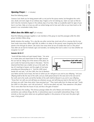# *Opening Prayer (1 - 2 minutes)*

#### *Read the following prayer.*

Gracious God, thank you for being present with us not just for the joyous events, but throughout the confusion, doubt, and even anger of our ordinary days. Forgive us for not noticing you. Open our eyes so that we don't miss the moments of grace in the ordinary days of our lives. Help us to patiently watch for signs of your love in our lives. Help us to love you with our whole beings and to love each other as you have loved us. Be present in our conversation today. Amen.

# *What does the Bible say? (20 minutes)*

*Read the following passages together or ask members of the group to read the passages while the other group members follow along.* 

*Briefly introduce the reading, "On a day like any other normal day, Jacob sets off on a journey that he may have made many times. When night falls, he settles in to sleep on the ground, never imagining that God will speak to him through his dream. Like Jacob, how many times do we not realize that God is in this place? How often do we look for fantastic signs and wonders, not realizing that God is active in our lives whether we recognize it or not?"*

#### **Genesis 28:10-17**

<sup>10</sup>Jacob left Beer-sheba and went toward Haran. <sup>11</sup>He came to a certain place and stayed there for the night, because the sun had set. Taking one of the stones of the place, he put it under his head and lay down in that place. 12And he dreamed that there was a ladder set up on the earth, the top of it reaching to heaven; and the angels of God were ascending and descending on it. 13And the LORD stood beside him and said, "I am the LORD, the God of Abraham



your father and the God of Isaac; the land on which you lie I will give to you and to your offspring; 14and your offspring shall be like the dust of the earth, and you shall spread abroad to the west and to the east and to the north and to the south; and all the families of the earth shall be blessed in you and in your offspring. <sup>15</sup>Know that I am with you and will keep you wherever you go, and will bring you back to this land; for I will not leave you until I have done what I have promised you." <sup>16</sup>Then Jacob woke from his sleep and said, "Surely the LORD is in this place—and I did not know it!" 17And he was afraid, and said, "How awesome is this place! This is none other than the house of God, and this is the gate of heaven."

*Briefly introduce the reading, "This famous passage relates the call of Moses and reminds us that God sometimes uses ordinary things, like fire, in extraordinary ways to accomplish extraordinary things. It also reminds us that any place where we are gathered together in the presence of God, even this place right now, is holy ground."*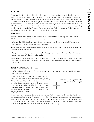#### **Exodus 3:1-6**

1 Moses was keeping the flock of his father-in-law Jethro, the priest of Midian; he led his flock beyond the wilderness, and came to Horeb, the mountain of God. 2 There the angel of the LORD appeared to him in a flame of fire out of a bush; he looked, and the bush was blazing, yet it was not consumed. <sup>3</sup>Then Moses said, "I must turn aside and look at this great sight, and see why the bush is not burned up." 4 When the LORD saw that he had turned aside to see, God called to him out of the bush, "Moses, Moses!" And he said, "Here I am." 5 Then he said, "Come no closer! Remove the sandals from your feet, for the place on which you are standing is holy ground." 6 He said further, "I am the God of your father, the God of Abraham, the God of Isaac, and the God of Jacob." And Moses hid his face, for he was afraid to look at God.

#### **Think About…**

*Provide a lead-in to the discussion, like "Before we look at what others have to say about these verses, let's take a few minutes to talk about our own interpretation."* 

- What promise did God make to Jacob? How is that same promise relevant for us today? What are some of the things that God promises to each of us? (Genesis 28)
- When have you had the sense that you were standing on holy ground? How or why did you recognize that situation as holy? (Exodus 3)
- Can you recall a time when you were surprised by God's presence in your ordinary activities? How did you sense God's presence? (Genesis 28, Exodus 3)
- What response did Moses and Jacob have to God? What does that tell us about them? What do you imagine your response would be if you suddenly found yourself in God's presence or heard God's voice? (Genesis 28, Exodus 3)

# *What do others say? (40 minutes)*

*Read the following reflections together or ask members of the group to read a paragraph while the other group members follow along.*

I have a friend in Iringa, Tanzania, whose name is Pastor Koko. He is the pastor of Incarnation's partner congregation, Mkwawa Lutheran Church. He says that one night he heard the voice of God—out loud, not just in his head. He says he actually heard it twice that night. The second time his brother also heard it. I have no reason to doubt my friend. That night, God's voice called Pastor Koko in an extraordinary way to become a pastor.

| <b>Transform ordinary tasks into</b><br>opportunities for prayer. |  |
|-------------------------------------------------------------------|--|
|                                                                   |  |

I have never heard the voice of God speak to me out loud. That's not to say that God hasn't spoken to me. I believe God speaks to us a lot. Unfortunately, I also believe that we often miss God speaking to us because we're too busy or too distracted to pay attention. We keep expecting God to speak to us in extraordinary ways, like from a burning bush, or a vision in our dreams, or even out loud. When, in fact, God speaks to us more often in seemingly ordinary ways on what we believe are just ordinary days.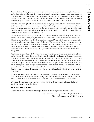God speaks to us through people—ordinary people in ordinary places such as home, work, the store, the coffee shop, or the neighborhood. God speaks to us through ordinary things such as nature, a book, a movie, or a picture. God speaks to us through our thoughts, our memories, or our feelings. God certainly speaks to us through the Bible. We just need to pay attention. We need to look beyond just what we see and learn to look for God's everyday incredible activity all around us. Life is much more than just what we see.

One of the reasons to gather together with others in a small group like this is to have the chance to discuss and pray with others and to ponder how God may be speaking to you and to others. God often speaks most clearly to us as we are in community. We need the help of others to test whether what we are hearing is God speaking, or perhaps just our imaginations or wishful thinking. We need the help of others to try and figure out those places and ways that God is speaking to us.

We are surrounded by God's holy activity every day. God called to Moses out of a burning bush. A bush that perhaps Moses had walked by many times before as he went about his day-to-day work of watching over his father-in-law's sheep. Notice that God doesn't begin to speak until Moses actually stops and goes over to the bush to see what is going on. Once he stops, God speaks: "Come no closer! Remove the sandals from your feet, for the place on which you are standing is holy ground." We are standing on holy ground all of the time. Every day is holy, all ground is holy, because God is already present at all times and in all places, making them holy. We just need to learn to stop and pay attention to those places and people from which God is calling to us.

As a follower of Jesus Christ, I don't believe that there are such things as ordinary days. Jesus came to bring us life, abundant life each and every day. That is not ordinary. That is incredibly extraordinary. We have a relationship with the God of the Universe. We have the power of that God already at work within us. Our lives are more than only what we can see around us. As some of my favorite verses from the book of Ephesians say, God can accomplish abundantly far more than all we can ask or imagine. We can't even imagine what God is already accomplishing in us, through us, and around us. We are given the privilege and the responsibility to spread the Good News of God's love in Jesus Christ everywhere we go in our world. We are given power by God to make a different world, to play our part in bringing about God's kingdom in this world. How can that be ordinary?

In keeping my eyes open to God's activity in "ordinary days," I have found it helpful to say a simple prayer before my feet even hit the ground in the morning. "God, this is your day, this is your world. Help me to be open to see you today in everyone I meet and everywhere I go. Speak and help me to listen. Amen."

We are standing on holy ground. Make some time to stop, take off your shoes, and listen to God speak. God is speaking. We just need to listen.

#### **Reflections from** *Alive Now:*

"A state of mind that sees God in everything is evidence of growth in grace and a thankful heart."

Quote by Charles G. Finney, from *Alive Now,* March/April 2005 (Nashville: The Upper Room, © 2005), page 5.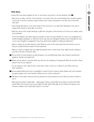#### **Think About…**

*Groups that have been together for one or more years may want to use the questions with* 

- Why do we so often miss the "God moments" in our lives? How can we look beyond the mundane aspects of our lives to see the moments of grace where God is active and present in our lives and in the world each day?
- Does having faith help us to be more aware of how God acts in our daily lives? What gets in the way of seeing God's activity or God's gifts in our lives?
- What are some of the simple blessings or gifts that God gives us that remind us of God as our creator, savior, and comforter?
- In the first reflection, the writer raises the question of how we know whether it's God or our imaginations or wishful thoughts speaking to us. What are some ways that you distinguish whether you're hearing from God or your own thoughts or imagination? How have others been helpful in making this distinction?
- When or where do you feel closest to God? What are some of the many ways that God comes to you so that you suddenly become aware of God's presence?
- When is it hard to imagine that God might be present? Even in those times, how might God be working in your life or the life of someone else?
- **Do** you think of God's presence as gift and grace or as something else (fear, awe, intrusion, punishment, guidance, shoulds and ought tos)?
- **Where are the places in your life where you feel you are standing on holy ground? What do you feel in those** places? How do you respond?
	- Do you expect to see a sign of God in each day or does it come as a surprise to you? When have you been surprised?
- **Some people believe that God is completely in control of each moment, others believe that God is present,** but gives people much more freedom. Where are you on this continuum?
- **Tell about a time when someone else has pointed out God's presence for you when you were not able to** see it.
	- What does the phrase "radical gifts radical grace" bring to mind? What most excites you about this faith study? What most concerns you as you begin this faith study? What gifts do you bring to the group as we all seek to explore God's radical gift of grace in our lives?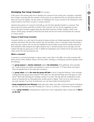# *Developing Your Group Covenant (20 minutes)*

*At this point in the evening, take time to develop your covenant for the coming year. It provides a wonderful time to begin connecting with the members of your group as you determine how you will interact with each other over your time together. See the section on Developing Your Group Covenant in the Introduction of this Leader Guide for more hints, as well as a sample covenant.* 

*Introduce the purpose of a covenant and briefly go over the items typically included in a covenant. Then discuss what your group would like to include in their covenant. You can start by suggesting one item, then let the group members suggest things that they think should be included. Develop a draft at this session. Ask the group members to think about the draft over the next month and formalize the covenant at a future session.*

## **Purpose of Small Group Covenants**

Covenants function as a road map for the group by laying out plans and setting expectations about how group members will interact with each other. Anyone who has ever taken a trip to a new place knows that having a good map (and a person who can read it!) simplifies the trip and helps ensure that the travelers will arrive at their destination while seeing the best sights along the way. A covenant provides some road signs and mile markers that help your group stay on track. It clarifies the expectations each member has for the group's destination and for the road trip along the way.

## **What's a covenant?**

A covenant is a promise that people in a group make to each other. In the Bible, God made covenants with Adam and Eve, Noah, Abraham, Moses, and many others, including us. Small group covenants typically include the following:

- The **group purpose** or **mission statement** explains **the destination** of the gathering. Some examples are, "To get to know one another and experience a sense of community" or "To learn about God's grace." There are typically three to five statements of purpose.
- The **group values** outline **the route the group will take** in terms of expected behaviors. Some examples of things that other groups have included in their values are, "We will hold things said in this group in confidence." "We'll make attending the meetings a priority in our lives." "We will value the contributions of each person by listening and not interrupting when another person is talking." There can be as many values as you want; however, if you have 20 statements, you may have trouble remembering them!
- **Group arrangements (our itinerary)** simply state when, where, how often, and for how long the small group will meet. "We will meet every third Thursday from 7:00 p.m. to 9:00 p.m. in Adult Room A at Incarnation."
- A list of **group members,** including phone number and e-mail, if appropriate, helps us keep track of **who is on the trip!**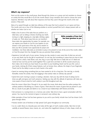# *What's my response?*

*Point out this section to the small group. Read through the choices as a group and ask members to choose an activity that they would like to try for the month ahead. Group members don't need to choose the same* response. Members may talk about their response and how they used it through the month at the next *session, if they wish.*

Many of us speed through our daily lives oblivious of the ways that God is present to us in grace and love. This month, pick one or two of the following activities to remind yourself that God is always present with us whether we notice God or not.

• Make a list of some of the tasks that you perform on a daily basis, such as taking a shower, brushing your teeth, turning on a light, stopping at a stop light, drinking a glass of water, etc. Think about ways that you can transform these tasks into opportunities for prayer. For example, you can express your thanks to God for your baptism as you shower. In the quiet times of the day, ask for wisdom to slow your life to provide more opportunity for prayer and



meditation. Use these daily tasks as reminders to pray or be present to God. At the end of the month, reflect on how this prayer time has changed the way you perceive these activities.

- Experience God with each of your senses. During one day, resolve to savor every bite of what you eat and, as you eat, thank God for the gift of nourishment. On one day, find something in nature that you love to look at. It could be a shell, a leaf, flower, rock, tree, frog, or your dog! Take time to really look at it in detail and marvel at how God has put the world together! Pick a quiet time and listen to all the sounds around you, then make a list of what you have heard. As you listen to your breathing, thank God for your life. Look at your hands, noticing all of their unique features, such as bumps, lines, calluses, the shape of your fingernails. Thank God for the ability to serve as God's hands in the world.
- Spend an evening doing something that you have wanted to do for a long time. The next day, or shortly thereafter, review the activity. How did engaging in that activity make an ordinary day special?
- Spend time each morning in prayer or reading a devotion. Start your day with the ritual of asking God to show you gifts and grace and God's presence. Starting your day with this attitude of openness will make you more aware of how to look for God's activity in your life throughout each day.
- Rent the movie *A River Runs Through It.* As you watch the movie, think about how the author portrays the ordinary pastime of fly-fishing as a means of grace. Think about the means of grace that are present in your life as a result of your gifts and talents or as a result of your relationships with friends and family.
- Visit someone in a nursing home or a memory care center. Take time to have a good conversation with this person. You may be the moment of grace in someone's very ordinary day.
- Write examples of how God has been gracious to you and to your family. Include how God has shown God's grace through others.
- Practice random acts of kindness to help spread God's grace throughout our community.
- Go on a walk. Move at a leisurely pace and notice all the signs of God's creative activity. Take time to look carefully at several flowers, trees, insects, etc., and notice the magnificent intricacy of color, shape, smell, etc.